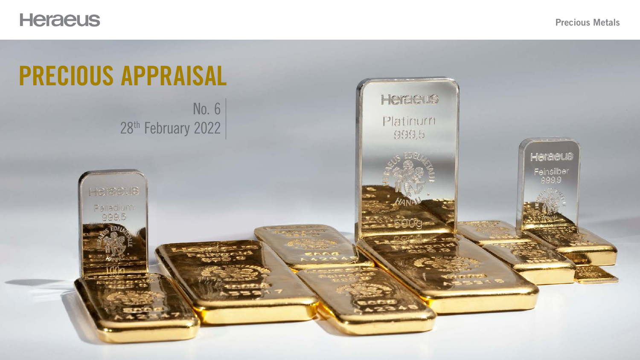

# PRECIOUS APPRAISAL No. 6

### Precious Metals



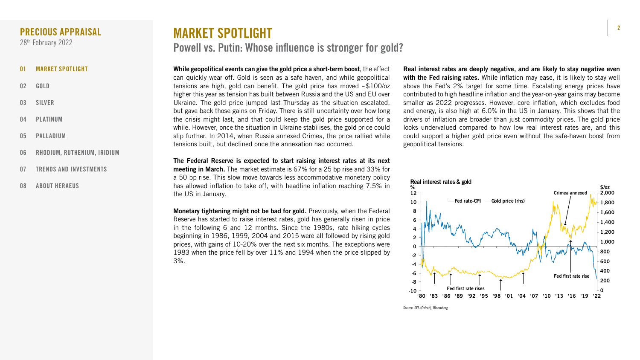2



While geopolitical events can give the gold price a short-term boost, the effect can quickly wear off. Gold is seen as a safe haven, and while geopolitical tensions are high, gold can benefit. The gold price has moved ~\$100/oz higher this year as tension has built between Russia and the US and EU over Ukraine. The gold price jumped last Thursday as the situation escalated, but gave back those gains on Friday. There is still uncertainty over how long the crisis might last, and that could keep the gold price supported for a while. However, once the situation in Ukraine stabilises, the gold price could slip further. In 2014, when Russia annexed Crimea, the price rallied while tensions built, but declined once the annexation had occurred.

Monetary tightening might not be bad for gold. Previously, when the Federal Reserve has started to raise interest rates, gold has generally risen in price in the following 6 and 12 months. Since the 1980s, rate hiking cycles beginning in 1986, 1999, 2004 and 2015 were all followed by rising gold prices, with gains of 10-20% over the next six months. The exceptions were 1983 when the price fell by over 11% and 1994 when the price slipped by 3%.

The Federal Reserve is expected to start raising interest rates at its next meeting in March. The market estimate is 67% for a 25 bp rise and 33% for a 50 bp rise. This slow move towards less accommodative monetary policy has allowed inflation to take off, with headline inflation reaching 7.5% in the US in January.

Real interest rates are deeply negative, and are likely to stay negative even with the Fed raising rates. While inflation may ease, it is likely to stay well above the Fed's 2% target for some time. Escalating energy prices have contributed to high headline inflation and the year-on-year gains may become smaller as 2022 progresses. However, core inflation, which excludes food and energy, is also high at 6.0% in the US in January. This shows that the drivers of inflation are broader than just commodity prices. The gold price looks undervalued compared to how low real interest rates are, and this could support a higher gold price even without the safe-haven boost from geopolitical tensions.

- 01 MARKET SPOTLIGHT
- 02 [GOLD](#page-2-0)
- 03 [SILVER](#page-3-0)
- 04 [PLATINUM](#page-4-0)
- 05 [PALLADIUM](#page-5-0)
- 06 [RHODIUM, RUTHENIUM, IRIDIUM](#page-6-0)
- 07 [TRENDS AND INVESTMENTS](#page-7-0)
- 08 [ABOUT HERAEUS](#page-8-0)

### <span id="page-1-0"></span>PRECIOUS APPRAISAL

28<sup>th</sup> February 2022

# MARKET SPOTLIGHT Powell vs. Putin: Whose influence is stronger for gold?



![](_page_1_Figure_16.jpeg)

Source: SFA (Oxford), Bloomberg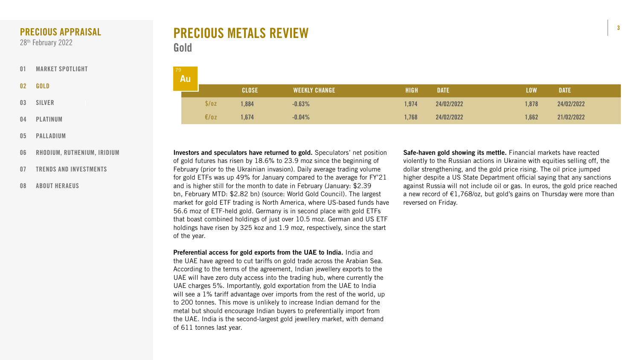![](_page_2_Picture_17.jpeg)

![](_page_2_Figure_18.jpeg)

# PRECIOUS METALS REVIEW Gold

Safe-haven gold showing its mettle. Financial markets have reacted violently to the Russian actions in Ukraine with equities selling off, the dollar strengthening, and the gold price rising. The oil price jumped higher despite a US State Department official saying that any sanctions against Russia will not include oil or gas. In euros, the gold price reached a new record of  $E1,768$ /oz, but gold's gains on Thursday were more than reversed on Friday.

Investors and speculators have returned to gold. Speculators' net position of gold futures has risen by 18.6% to 23.9 moz since the beginning of February (prior to the Ukrainian invasion). Daily average trading volume for gold ETFs was up 49% for January compared to the average for FY'21 and is higher still for the month to date in February (January: \$2.39 bn, February MTD: \$2.82 bn) (source: World Gold Council). The largest market for gold ETF trading is North America, where US-based funds have 56.6 moz of ETF-held gold. Germany is in second place with gold ETFs that boast combined holdings of just over 10.5 moz. German and US ETF holdings have risen by 325 koz and 1.9 moz, respectively, since the start of the year.

Preferential access for gold exports from the UAE to India. India and the UAE have agreed to cut tariffs on gold trade across the Arabian Sea. According to the terms of the agreement, Indian jewellery exports to the UAE will have zero duty access into the trading hub, where currently the UAE charges 5%. Importantly, gold exportation from the UAE to India will see a 1% tariff advantage over imports from the rest of the world, up to 200 tonnes. This move is unlikely to increase Indian demand for the metal but should encourage Indian buyers to preferentially import from the UAE. India is the second-largest gold jewellery market, with demand of 611 tonnes last year.

| 79 | <b>Au</b> |              |                      |             |             |            |             |
|----|-----------|--------------|----------------------|-------------|-------------|------------|-------------|
|    |           | <b>CLOSE</b> | <b>WEEKLY CHANGE</b> | <b>HIGH</b> | <b>DATE</b> | <b>LOW</b> | <b>DATE</b> |
|    | \$/oz     | ,884         | $-0.63%$             | 1,974       | 24/02/2022  | 1,878      | 24/02/2022  |
|    | €/oz      | ,674         | $-0.04%$             | 1,768       | 24/02/2022  | 1,662      | 21/02/2022  |

- [01](#page-1-0) [MARKET SPOTLIGHT](#page-1-0)
- 02 GOLD
- 03 [SILVER](#page-3-0)
- 04 [PLATINUM](#page-4-0)
- 05 [PALLADIUM](#page-5-0)
- 06 [RHODIUM, RUTHENIUM, IRIDIUM](#page-6-0)
- 07 [TRENDS AND INVESTMENTS](#page-7-0)
- 08 [ABOUT HERAEUS](#page-8-0)

### <span id="page-2-0"></span>PRECIOUS APPRAISAL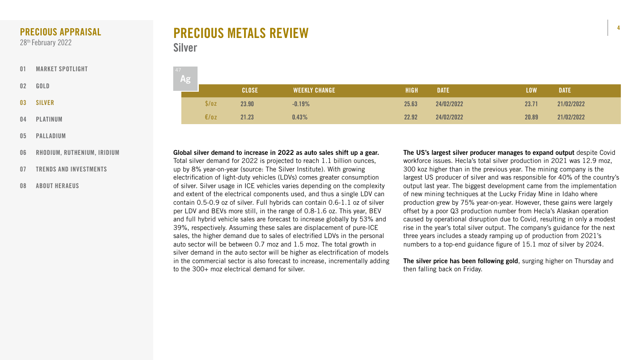![](_page_3_Picture_17.jpeg)

![](_page_3_Picture_18.jpeg)

![](_page_3_Figure_19.jpeg)

![](_page_3_Figure_20.jpeg)

![](_page_3_Figure_21.jpeg)

| 47 |       |              |                      |             |             |            |             |
|----|-------|--------------|----------------------|-------------|-------------|------------|-------------|
|    | Ag    |              |                      |             |             |            |             |
|    |       | <b>CLOSE</b> | <b>WEEKLY CHANGE</b> | <b>HIGH</b> | <b>DATE</b> | <b>LOW</b> | <b>DATE</b> |
|    | \$/oz | 23.90        | $-0.19%$             | 25.63       | 24/02/2022  | 23.71      | 21/02/2022  |
|    | E/OZ  | 21.23        | 0.43%                | 22.92       | 24/02/2022  | 20.89      | 21/02/2022  |

# PRECIOUS METALS REVIEW Silver

The US's largest silver producer manages to expand output despite Covid workforce issues. Hecla's total silver production in 2021 was 12.9 moz, 300 koz higher than in the previous year. The mining company is the largest US producer of silver and was responsible for 40% of the country's output last year. The biggest development came from the implementation of new mining techniques at the Lucky Friday Mine in Idaho where production grew by 75% year-on-year. However, these gains were largely offset by a poor Q3 production number from Hecla's Alaskan operation caused by operational disruption due to Covid, resulting in only a modest rise in the year's total silver output. The company's guidance for the next three years includes a steady ramping up of production from 2021's numbers to a top-end guidance figure of 15.1 moz of silver by 2024.

The silver price has been following gold, surging higher on Thursday and then falling back on Friday.

Global silver demand to increase in 2022 as auto sales shift up a gear. Total silver demand for 2022 is projected to reach 1.1 billion ounces, up by 8% year-on-year (source: The Silver Institute). With growing electrification of light-duty vehicles (LDVs) comes greater consumption of silver. Silver usage in ICE vehicles varies depending on the complexity and extent of the electrical components used, and thus a single LDV can contain 0.5-0.9 oz of silver. Full hybrids can contain 0.6-1.1 oz of silver per LDV and BEVs more still, in the range of 0.8-1.6 oz. This year, BEV and full hybrid vehicle sales are forecast to increase globally by 53% and 39%, respectively. Assuming these sales are displacement of pure-ICE sales, the higher demand due to sales of electrified LDVs in the personal auto sector will be between 0.7 moz and 1.5 moz. The total growth in silver demand in the auto sector will be higher as electrification of models in the commercial sector is also forecast to increase, incrementally adding to the 300+ moz electrical demand for silver.

- [01](#page-1-0) [MARKET SPOTLIGHT](#page-1-0)
- 02 [GOLD](#page-2-0)
- 03 SILVER
- 04 [PLATINUM](#page-4-0)
- 05 [PALLADIUM](#page-5-0)
- 06 [RHODIUM, RUTHENIUM, IRIDIUM](#page-6-0)
- 07 [TRENDS AND INVESTMENTS](#page-7-0)
- 08 [ABOUT HERAEUS](#page-8-0)

## <span id="page-3-0"></span>PRECIOUS APPRAISAL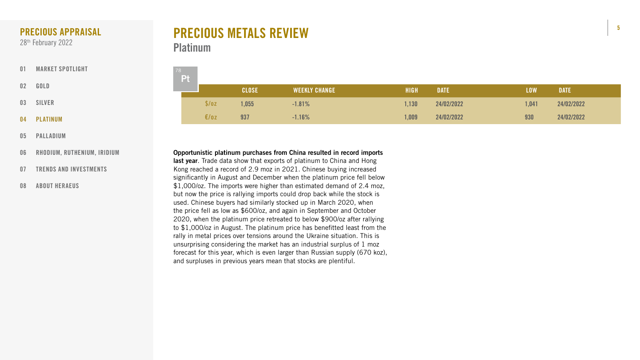![](_page_4_Picture_15.jpeg)

![](_page_4_Picture_16.jpeg)

# PRECIOUS METALS REVIEW **Platinum**

| 78 | Pt |       |              |                      |             |             |            |             |
|----|----|-------|--------------|----------------------|-------------|-------------|------------|-------------|
|    |    |       | <b>CLOSE</b> | <b>WEEKLY CHANGE</b> | <b>HIGH</b> | <b>DATE</b> | <b>LOW</b> | <b>DATE</b> |
|    |    | \$/oz | 1,055        | $-1.81\%$            | 1,130       | 24/02/2022  | 1,041      | 24/02/2022  |
|    |    | E/oz  | 937          | $-1.16%$             | .009        | 24/02/2022  | 930        | 24/02/2022  |

Opportunistic platinum purchases from China resulted in record imports last year. Trade data show that exports of platinum to China and Hong Kong reached a record of 2.9 moz in 2021. Chinese buying increased significantly in August and December when the platinum price fell below \$1,000/oz. The imports were higher than estimated demand of 2.4 moz, but now the price is rallying imports could drop back while the stock is used. Chinese buyers had similarly stocked up in March 2020, when the price fell as low as \$600/oz, and again in September and October 2020, when the platinum price retreated to below \$900/oz after rallying to \$1,000/oz in August. The platinum price has benefitted least from the rally in metal prices over tensions around the Ukraine situation. This is unsurprising considering the market has an industrial surplus of 1 moz forecast for this year, which is even larger than Russian supply (670 koz), and surpluses in previous years mean that stocks are plentiful.

- [01](#page-1-0) [MARKET SPOTLIGHT](#page-1-0)
- 02 [GOLD](#page-2-0)
- 03 [SILVER](#page-3-0)
- 04 PLATINUM
- 05 [PALLADIUM](#page-5-0)
- 06 [RHODIUM, RUTHENIUM, IRIDIUM](#page-6-0)
- 07 [TRENDS AND INVESTMENTS](#page-7-0)
- 08 [ABOUT HERAEUS](#page-8-0)

## <span id="page-4-0"></span>PRECIOUS APPRAISAL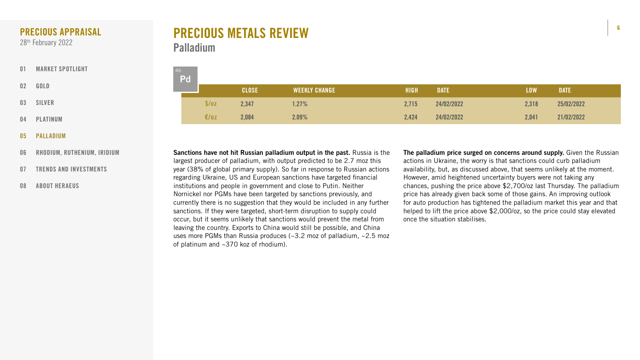![](_page_5_Picture_15.jpeg)

| 46 | Pd |       |              |                      |             |             |            |             |
|----|----|-------|--------------|----------------------|-------------|-------------|------------|-------------|
|    |    |       | <b>CLOSE</b> | <b>WEEKLY CHANGE</b> | <b>HIGH</b> | <b>DATE</b> | <b>LOW</b> | <b>DATE</b> |
|    |    | \$/oz | 2,347        | $1.27\%$             | 2,715       | 24/02/2022  | 2,318      | 25/02/2022  |
|    |    | E/oz  | 2,084        | 2.09%                | 2,424       | 24/02/2022  | 2,041      | 21/02/2022  |

The palladium price surged on concerns around supply. Given the Russian actions in Ukraine, the worry is that sanctions could curb palladium availability, but, as discussed above, that seems unlikely at the moment. However, amid heightened uncertainty buyers were not taking any chances, pushing the price above \$2,700/oz last Thursday. The palladium price has already given back some of those gains. An improving outlook for auto production has tightened the palladium market this year and that helped to lift the price above \$2,000/oz, so the price could stay elevated once the situation stabilises.

Sanctions have not hit Russian palladium output in the past. Russia is the largest producer of palladium, with output predicted to be 2.7 moz this year (38% of global primary supply). So far in response to Russian actions regarding Ukraine, US and European sanctions have targeted financial institutions and people in government and close to Putin. Neither Nornickel nor PGMs have been targeted by sanctions previously, and currently there is no suggestion that they would be included in any further sanctions. If they were targeted, short-term disruption to supply could occur, but it seems unlikely that sanctions would prevent the metal from leaving the country. Exports to China would still be possible, and China uses more PGMs than Russia produces ( $\sim$ 3.2 moz of palladium,  $\sim$ 2.5 moz of platinum and ~370 koz of rhodium).

# PRECIOUS METALS REVIEW Palladium

- [01](#page-1-0) [MARKET SPOTLIGHT](#page-1-0)
- 02 [GOLD](#page-2-0)
- 03 [SILVER](#page-3-0)
- 04 [PLATINUM](#page-4-0)
- 05 PALLADIUM
- 06 [RHODIUM, RUTHENIUM, IRIDIUM](#page-6-0)
- 07 [TRENDS AND INVESTMENTS](#page-7-0)
- 08 [ABOUT HERAEUS](#page-8-0)

## <span id="page-5-0"></span>PRECIOUS APPRAISAL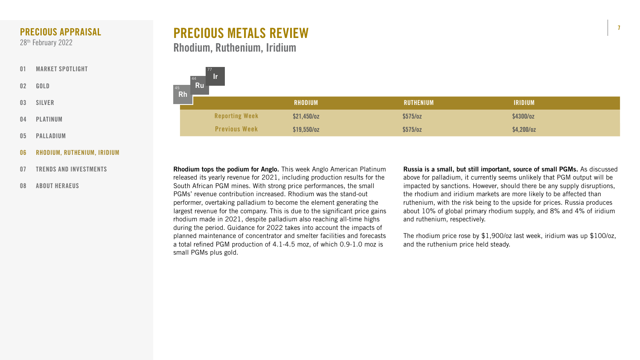7

![](_page_6_Figure_18.jpeg)

![](_page_6_Figure_19.jpeg)

| <b>RHODIUM</b> | <b>RUTHENIUM</b> | <b>IRIDIUM</b> |
|----------------|------------------|----------------|
| $521,450$ /oz  | \$575/oz         | \$4300/oz      |
| $$19,550$ /oz  | $$575/$ oz       | \$4,200/oz     |

# PRECIOUS METALS REVIEW Rhodium, Ruthenium, Iridium

![](_page_6_Figure_11.jpeg)

- [01](#page-1-0) [MARKET SPOTLIGHT](#page-1-0)
- 02 [GOLD](#page-2-0)
- 03 [SILVER](#page-3-0)
- 04 [PLATINUM](#page-4-0)
- 05 [PALLADIUM](#page-5-0)
- 06 RHODIUM, RUTHENIUM, IRIDIUM
- 07 [TRENDS AND INVESTMENTS](#page-7-0)
- 08 [ABOUT HERAEUS](#page-8-0)

Rhodium tops the podium for Anglo. This week Anglo American Platinum released its yearly revenue for 2021, including production results for the South African PGM mines. With strong price performances, the small PGMs' revenue contribution increased. Rhodium was the stand-out performer, overtaking palladium to become the element generating the largest revenue for the company. This is due to the significant price gains rhodium made in 2021, despite palladium also reaching all-time highs during the period. Guidance for 2022 takes into account the impacts of planned maintenance of concentrator and smelter facilities and forecasts a total refined PGM production of 4.1-4.5 moz, of which 0.9-1.0 moz is small PGMs plus gold.

Russia is a small, but still important, source of small PGMs. As discussed above for palladium, it currently seems unlikely that PGM output will be impacted by sanctions. However, should there be any supply disruptions, the rhodium and iridium markets are more likely to be affected than ruthenium, with the risk being to the upside for prices. Russia produces about 10% of global primary rhodium supply, and 8% and 4% of iridium and ruthenium, respectively.

The rhodium price rose by \$1,900/oz last week, iridium was up \$100/oz, and the ruthenium price held steady.

![](_page_6_Picture_17.jpeg)

# <span id="page-6-0"></span>PRECIOUS APPRAISAL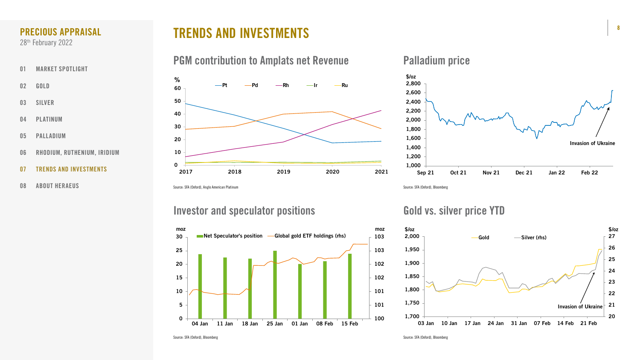# TRENDS AND INVESTMENTS

# PGM contribution to Amplats net Revenue Palladium price

![](_page_7_Figure_22.jpeg)

![](_page_7_Figure_19.jpeg)

![](_page_7_Figure_15.jpeg)

Source: SFA (Oxford), Bloomberg Survey of Source: SFA (Oxford), Bloomberg Source: SFA (Oxford), Bloomberg

![](_page_7_Figure_12.jpeg)

Source: SFA (Oxford), Anglo American Platinum Source: SFA (Oxford), Bloomberg

# Investor and speculator positions Gold vs. silver price YTD

- [01](#page-1-0) [MARKET SPOTLIGHT](#page-1-0)
- 02 [GOLD](#page-2-0)
- 03 [SILVER](#page-3-0)
- 04 [PLATINUM](#page-4-0)
- 05 [PALLADIUM](#page-5-0)
- 06 [RHODIUM, RUTHENIUM, IRIDIUM](#page-6-0)
- 07 TRENDS AND INVESTMENTS
- 08 [ABOUT HERAEUS](#page-8-0)

### <span id="page-7-0"></span>PRECIOUS APPRAISAL